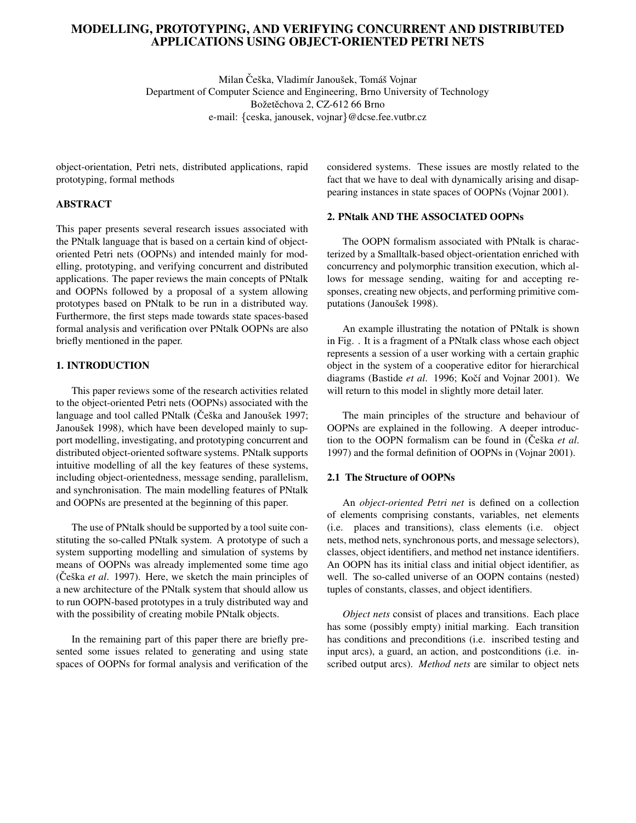# **MODELLING, PROTOTYPING, AND VERIFYING CONCURRENT AND DISTRIBUTED APPLICATIONS USING OBJECT-ORIENTED PETRI NETS**

Milan Češka, Vladimír Janoušek, Tomáš Vojnar Department of Computer Science and Engineering, Brno University of Technology Božetěchova 2, CZ-612 66 Brno e-mail: {ceska, janousek, vojnar}@dcse.fee.vutbr.cz

object-orientation, Petri nets, distributed applications, rapid prototyping, formal methods

## **ABSTRACT**

This paper presents several research issues associated with the PNtalk language that is based on a certain kind of objectoriented Petri nets (OOPNs) and intended mainly for modelling, prototyping, and verifying concurrent and distributed applications. The paper reviews the main concepts of PNtalk and OOPNs followed by a proposal of a system allowing prototypes based on PNtalk to be run in a distributed way. Furthermore, the first steps made towards state spaces-based formal analysis and verification over PNtalk OOPNs are also briefly mentioned in the paper.

## **1. INTRODUCTION**

This paper reviews some of the research activities related to the object-oriented Petri nets (OOPNs) associated with the language and tool called PNtalk (Ceška and Janoušek 1997; Janoušek 1998), which have been developed mainly to support modelling, investigating, and prototyping concurrent and distributed object-oriented software systems. PNtalk supports intuitive modelling of all the key features of these systems, including object-orientedness, message sending, parallelism, and synchronisation. The main modelling features of PNtalk and OOPNs are presented at the beginning of this paper.

The use of PNtalk should be supported by a tool suite constituting the so-called PNtalk system. A prototype of such a system supporting modelling and simulation of systems by means of OOPNs was already implemented some time ago (Češka et al. 1997). Here, we sketch the main principles of a new architecture of the PNtalk system that should allow us to run OOPN-based prototypes in a truly distributed way and with the possibility of creating mobile PNtalk objects.

In the remaining part of this paper there are briefly presented some issues related to generating and using state spaces of OOPNs for formal analysis and verification of the considered systems. These issues are mostly related to the fact that we have to deal with dynamically arising and disappearing instances in state spaces of OOPNs (Vojnar 2001).

## **2. PNtalk AND THE ASSOCIATED OOPNs**

The OOPN formalism associated with PNtalk is characterized by a Smalltalk-based object-orientation enriched with concurrency and polymorphic transition execution, which allows for message sending, waiting for and accepting responses, creating new objects, and performing primitive computations (Janoušek 1998).

An example illustrating the notation of PNtalk is shown in Fig. . It is a fragment of a PNtalk class whose each object represents a session of a user working with a certain graphic object in the system of a cooperative editor for hierarchical diagrams (Bastide et al. 1996; Kočí and Vojnar 2001). We will return to this model in slightly more detail later.

The main principles of the structure and behaviour of OOPNs are explained in the following. A deeper introduction to the OOPN formalism can be found in (Češka *et al.*) 1997) and the formal definition of OOPNs in (Vojnar 2001).

## **2.1 The Structure of OOPNs**

An *object-oriented Petri net* is defined on a collection of elements comprising constants, variables, net elements (i.e. places and transitions), class elements (i.e. object nets, method nets, synchronous ports, and message selectors), classes, object identifiers, and method net instance identifiers. An OOPN has its initial class and initial object identifier, as well. The so-called universe of an OOPN contains (nested) tuples of constants, classes, and object identifiers.

*Object nets* consist of places and transitions. Each place has some (possibly empty) initial marking. Each transition has conditions and preconditions (i.e. inscribed testing and input arcs), a guard, an action, and postconditions (i.e. inscribed output arcs). *Method nets* are similar to object nets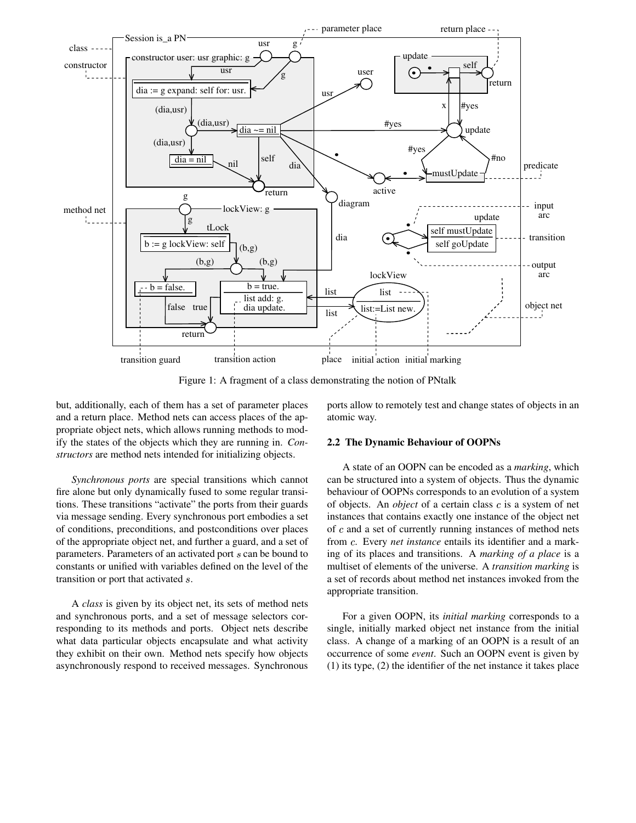

Figure 1: A fragment of a class demonstrating the notion of PNtalk

but, additionally, each of them has a set of parameter places and a return place. Method nets can access places of the appropriate object nets, which allows running methods to modify the states of the objects which they are running in. *Constructors* are method nets intended for initializing objects.

*Synchronous ports* are special transitions which cannot fire alone but only dynamically fused to some regular transitions. These transitions "activate" the ports from their guards via message sending. Every synchronous port embodies a set of conditions, preconditions, and postconditions over places of the appropriate object net, and further a guard, and a set of parameters. Parameters of an activated port s can be bound to constants or unified with variables defined on the level of the transition or port that activated  $s$ .

A *class* is given by its object net, its sets of method nets and synchronous ports, and a set of message selectors corresponding to its methods and ports. Object nets describe what data particular objects encapsulate and what activity they exhibit on their own. Method nets specify how objects asynchronously respond to received messages. Synchronous ports allow to remotely test and change states of objects in an atomic way.

#### **2.2 The Dynamic Behaviour of OOPNs**

A state of an OOPN can be encoded as a *marking*, which can be structured into a system of objects. Thus the dynamic behaviour of OOPNs corresponds to an evolution of a system of objects. An *object* of a certain class c is a system of net instances that contains exactly one instance of the object net of  $c$  and a set of currently running instances of method nets from c. Every *net instance* entails its identifier and a marking of its places and transitions. A *marking of a place* is a multiset of elements of the universe. A *transition marking* is a set of records about method net instances invoked from the appropriate transition.

For a given OOPN, its *initial marking* corresponds to a single, initially marked object net instance from the initial class. A change of a marking of an OOPN is a result of an occurrence of some *event*. Such an OOPN event is given by (1) its type, (2) the identifier of the net instance it takes place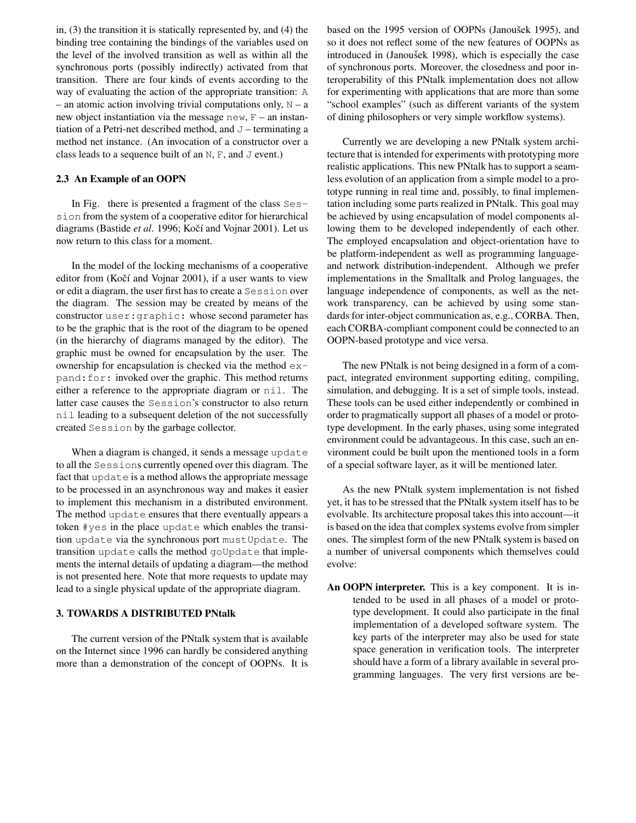in, (3) the transition it is statically represented by, and (4) the binding tree containing the bindings of the variables used on the level of the involved transition as well as within all the synchronous ports (possibly indirectly) activated from that transition. There are four kinds of events according to the way of evaluating the action of the appropriate transition: A – an atomic action involving trivial computations only,  $N - a$ new object instantiation via the message new,  $F - an$  instantiation of a Petri-net described method, and  $J$  – terminating a method net instance. (An invocation of a constructor over a class leads to a sequence built of an N, F, and J event.)

#### **2.3 An Example of an OOPN**

In Fig. there is presented a fragment of the class Session from the system of a cooperative editor for hierarchical diagrams (Bastide et al. 1996; Kočí and Vojnar 2001). Let us now return to this class for a moment.

In the model of the locking mechanisms of a cooperative editor from (Kočí and Vojnar 2001), if a user wants to view or edit a diagram, the user first has to create a Session over the diagram. The session may be created by means of the constructor user:graphic: whose second parameter has to be the graphic that is the root of the diagram to be opened (in the hierarchy of diagrams managed by the editor). The graphic must be owned for encapsulation by the user. The ownership for encapsulation is checked via the method expand:for: invoked over the graphic. This method returns either a reference to the appropriate diagram or nil. The latter case causes the Session's constructor to also return nil leading to a subsequent deletion of the not successfully created Session by the garbage collector.

When a diagram is changed, it sends a message update to all the Sessions currently opened over this diagram. The fact that update is a method allows the appropriate message to be processed in an asynchronous way and makes it easier to implement this mechanism in a distributed environment. The method update ensures that there eventually appears a token #yes in the place update which enables the transition update via the synchronous port mustUpdate. The transition update calls the method goUpdate that implements the internal details of updating a diagram—the method is not presented here. Note that more requests to update may lead to a single physical update of the appropriate diagram.

### **3. TOWARDS A DISTRIBUTED PNtalk**

The current version of the PNtalk system that is available on the Internet since 1996 can hardly be considered anything more than a demonstration of the concept of OOPNs. It is based on the 1995 version of OOPNs (Janoušek 1995), and so it does not reflect some of the new features of OOPNs as introduced in (Janoušek 1998), which is especially the case of synchronous ports. Moreover, the closedness and poor interoperability of this PNtalk implementation does not allow for experimenting with applications that are more than some "school examples" (such as different variants of the system of dining philosophers or very simple workflow systems).

Currently we are developing a new PNtalk system architecture that is intended for experiments with prototyping more realistic applications. This new PNtalk has to support a seamless evolution of an application from a simple model to a prototype running in real time and, possibly, to final implementation including some parts realized in PNtalk. This goal may be achieved by using encapsulation of model components allowing them to be developed independently of each other. The employed encapsulation and object-orientation have to be platform-independent as well as programming languageand network distribution-independent. Although we prefer implementations in the Smalltalk and Prolog languages, the language independence of components, as well as the network transparency, can be achieved by using some standards for inter-object communication as, e.g., CORBA. Then, each CORBA-compliant component could be connected to an OOPN-based prototype and vice versa.

The new PNtalk is not being designed in a form of a compact, integrated environment supporting editing, compiling, simulation, and debugging. It is a set of simple tools, instead. These tools can be used either independently or combined in order to pragmatically support all phases of a model or prototype development. In the early phases, using some integrated environment could be advantageous. In this case, such an environment could be built upon the mentioned tools in a form of a special software layer, as it will be mentioned later.

As the new PNtalk system implementation is not fished yet, it has to be stressed that the PNtalk system itself has to be evolvable. Its architecture proposal takes this into account—it is based on the idea that complex systems evolve from simpler ones. The simplest form of the new PNtalk system is based on a number of universal components which themselves could evolve:

**An OOPN interpreter.** This is a key component. It is intended to be used in all phases of a model or prototype development. It could also participate in the final implementation of a developed software system. The key parts of the interpreter may also be used for state space generation in verification tools. The interpreter should have a form of a library available in several programming languages. The very first versions are be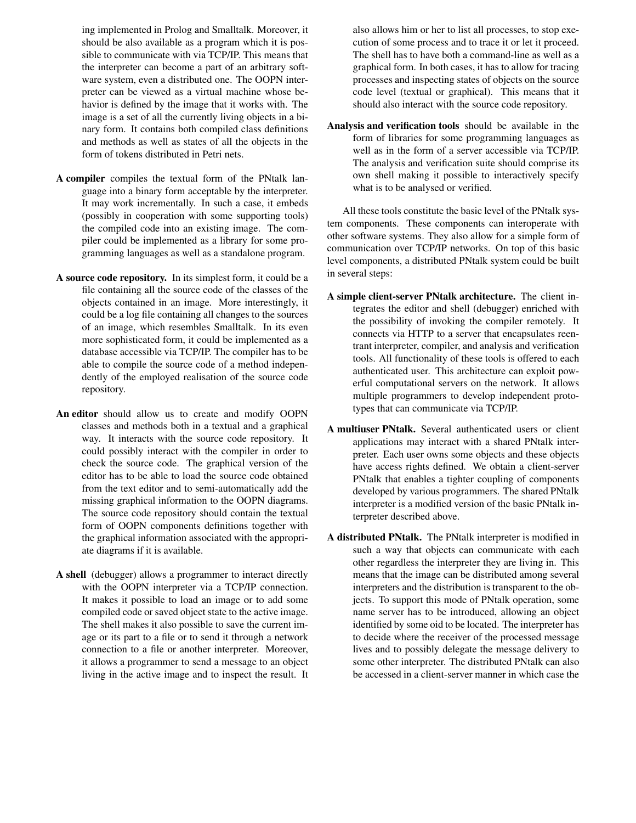ing implemented in Prolog and Smalltalk. Moreover, it should be also available as a program which it is possible to communicate with via TCP/IP. This means that the interpreter can become a part of an arbitrary software system, even a distributed one. The OOPN interpreter can be viewed as a virtual machine whose behavior is defined by the image that it works with. The image is a set of all the currently living objects in a binary form. It contains both compiled class definitions and methods as well as states of all the objects in the form of tokens distributed in Petri nets.

- **A compiler** compiles the textual form of the PNtalk language into a binary form acceptable by the interpreter. It may work incrementally. In such a case, it embeds (possibly in cooperation with some supporting tools) the compiled code into an existing image. The compiler could be implemented as a library for some programming languages as well as a standalone program.
- **A source code repository.** In its simplest form, it could be a file containing all the source code of the classes of the objects contained in an image. More interestingly, it could be a log file containing all changes to the sources of an image, which resembles Smalltalk. In its even more sophisticated form, it could be implemented as a database accessible via TCP/IP. The compiler has to be able to compile the source code of a method independently of the employed realisation of the source code repository.
- **An editor** should allow us to create and modify OOPN classes and methods both in a textual and a graphical way. It interacts with the source code repository. It could possibly interact with the compiler in order to check the source code. The graphical version of the editor has to be able to load the source code obtained from the text editor and to semi-automatically add the missing graphical information to the OOPN diagrams. The source code repository should contain the textual form of OOPN components definitions together with the graphical information associated with the appropriate diagrams if it is available.
- **A shell** (debugger) allows a programmer to interact directly with the OOPN interpreter via a TCP/IP connection. It makes it possible to load an image or to add some compiled code or saved object state to the active image. The shell makes it also possible to save the current image or its part to a file or to send it through a network connection to a file or another interpreter. Moreover, it allows a programmer to send a message to an object living in the active image and to inspect the result. It

also allows him or her to list all processes, to stop execution of some process and to trace it or let it proceed. The shell has to have both a command-line as well as a graphical form. In both cases, it has to allow for tracing processes and inspecting states of objects on the source code level (textual or graphical). This means that it should also interact with the source code repository.

**Analysis and verification tools** should be available in the form of libraries for some programming languages as well as in the form of a server accessible via TCP/IP. The analysis and verification suite should comprise its own shell making it possible to interactively specify what is to be analysed or verified.

All these tools constitute the basic level of the PNtalk system components. These components can interoperate with other software systems. They also allow for a simple form of communication over TCP/IP networks. On top of this basic level components, a distributed PNtalk system could be built in several steps:

- **A simple client-server PNtalk architecture.** The client integrates the editor and shell (debugger) enriched with the possibility of invoking the compiler remotely. It connects via HTTP to a server that encapsulates reentrant interpreter, compiler, and analysis and verification tools. All functionality of these tools is offered to each authenticated user. This architecture can exploit powerful computational servers on the network. It allows multiple programmers to develop independent prototypes that can communicate via TCP/IP.
- **A multiuser PNtalk.** Several authenticated users or client applications may interact with a shared PNtalk interpreter. Each user owns some objects and these objects have access rights defined. We obtain a client-server PNtalk that enables a tighter coupling of components developed by various programmers. The shared PNtalk interpreter is a modified version of the basic PNtalk interpreter described above.
- **A distributed PNtalk.** The PNtalk interpreter is modified in such a way that objects can communicate with each other regardless the interpreter they are living in. This means that the image can be distributed among several interpreters and the distribution is transparent to the objects. To support this mode of PNtalk operation, some name server has to be introduced, allowing an object identified by some oid to be located. The interpreter has to decide where the receiver of the processed message lives and to possibly delegate the message delivery to some other interpreter. The distributed PNtalk can also be accessed in a client-server manner in which case the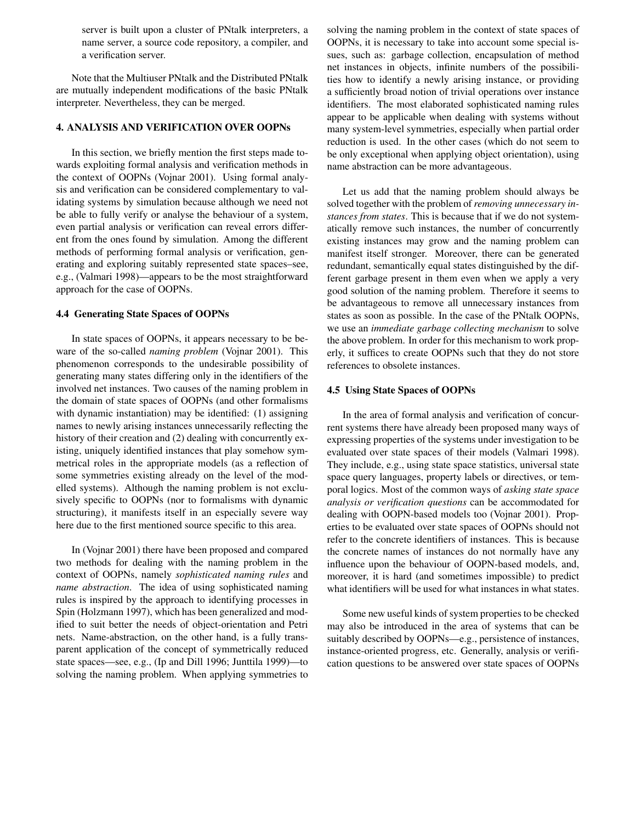server is built upon a cluster of PNtalk interpreters, a name server, a source code repository, a compiler, and a verification server.

Note that the Multiuser PNtalk and the Distributed PNtalk are mutually independent modifications of the basic PNtalk interpreter. Nevertheless, they can be merged.

#### **4. ANALYSIS AND VERIFICATION OVER OOPNs**

In this section, we briefly mention the first steps made towards exploiting formal analysis and verification methods in the context of OOPNs (Vojnar 2001). Using formal analysis and verification can be considered complementary to validating systems by simulation because although we need not be able to fully verify or analyse the behaviour of a system, even partial analysis or verification can reveal errors different from the ones found by simulation. Among the different methods of performing formal analysis or verification, generating and exploring suitably represented state spaces–see, e.g., (Valmari 1998)—appears to be the most straightforward approach for the case of OOPNs.

#### **4.4 Generating State Spaces of OOPNs**

In state spaces of OOPNs, it appears necessary to be beware of the so-called *naming problem* (Vojnar 2001). This phenomenon corresponds to the undesirable possibility of generating many states differing only in the identifiers of the involved net instances. Two causes of the naming problem in the domain of state spaces of OOPNs (and other formalisms with dynamic instantiation) may be identified: (1) assigning names to newly arising instances unnecessarily reflecting the history of their creation and (2) dealing with concurrently existing, uniquely identified instances that play somehow symmetrical roles in the appropriate models (as a reflection of some symmetries existing already on the level of the modelled systems). Although the naming problem is not exclusively specific to OOPNs (nor to formalisms with dynamic structuring), it manifests itself in an especially severe way here due to the first mentioned source specific to this area.

In (Vojnar 2001) there have been proposed and compared two methods for dealing with the naming problem in the context of OOPNs, namely *sophisticated naming rules* and *name abstraction*. The idea of using sophisticated naming rules is inspired by the approach to identifying processes in Spin (Holzmann 1997), which has been generalized and modified to suit better the needs of object-orientation and Petri nets. Name-abstraction, on the other hand, is a fully transparent application of the concept of symmetrically reduced state spaces—see, e.g., (Ip and Dill 1996; Junttila 1999)—to solving the naming problem. When applying symmetries to solving the naming problem in the context of state spaces of OOPNs, it is necessary to take into account some special issues, such as: garbage collection, encapsulation of method net instances in objects, infinite numbers of the possibilities how to identify a newly arising instance, or providing a sufficiently broad notion of trivial operations over instance identifiers. The most elaborated sophisticated naming rules appear to be applicable when dealing with systems without many system-level symmetries, especially when partial order reduction is used. In the other cases (which do not seem to be only exceptional when applying object orientation), using name abstraction can be more advantageous.

Let us add that the naming problem should always be solved together with the problem of *removing unnecessary instances from states*. This is because that if we do not systematically remove such instances, the number of concurrently existing instances may grow and the naming problem can manifest itself stronger. Moreover, there can be generated redundant, semantically equal states distinguished by the different garbage present in them even when we apply a very good solution of the naming problem. Therefore it seems to be advantageous to remove all unnecessary instances from states as soon as possible. In the case of the PNtalk OOPNs, we use an *immediate garbage collecting mechanism* to solve the above problem. In order for this mechanism to work properly, it suffices to create OOPNs such that they do not store references to obsolete instances.

#### **4.5 Using State Spaces of OOPNs**

In the area of formal analysis and verification of concurrent systems there have already been proposed many ways of expressing properties of the systems under investigation to be evaluated over state spaces of their models (Valmari 1998). They include, e.g., using state space statistics, universal state space query languages, property labels or directives, or temporal logics. Most of the common ways of *asking state space analysis or verification questions* can be accommodated for dealing with OOPN-based models too (Vojnar 2001). Properties to be evaluated over state spaces of OOPNs should not refer to the concrete identifiers of instances. This is because the concrete names of instances do not normally have any influence upon the behaviour of OOPN-based models, and, moreover, it is hard (and sometimes impossible) to predict what identifiers will be used for what instances in what states.

Some new useful kinds of system properties to be checked may also be introduced in the area of systems that can be suitably described by OOPNs—e.g., persistence of instances, instance-oriented progress, etc. Generally, analysis or verification questions to be answered over state spaces of OOPNs